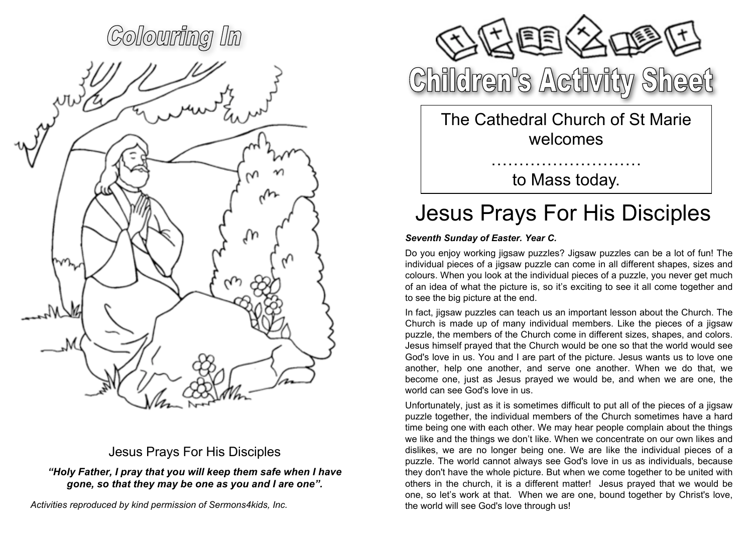# Colouring In

## Jesus Prays For His Disciples

*"Holy Father, I pray that you will keep them safe when I have gone, so that they may be one as you and I are one".*



Children's Activity Sheet

The Cathedral Church of St Marie welcomes

> ……………………… to Mass today.

# Jesus Prays For His Disciples

### *Seventh Sunday of Easter. Year C.*

Do you enjoy working jigsaw puzzles? Jigsaw puzzles can be a lot of fun! The individual pieces of a jigsaw puzzle can come in all different shapes, sizes and colours. When you look at the individual pieces of a puzzle, you never get much of an idea of what the picture is, so it's exciting to see it all come together and to see the big picture at the end.

In fact, jigsaw puzzles can teach us an important lesson about the Church. The Church is made up of many individual members. Like the pieces of a jigsaw puzzle, the members of the Church come in different sizes, shapes, and colors. Jesus himself prayed that the Church would be one so that the world would see God's love in us. You and I are part of the picture. Jesus wants us to love one another, help one another, and serve one another. When we do that, we become one, just as Jesus prayed we would be, and when we are one, the world can see God's love in us.

Unfortunately, just as it is sometimes difficult to put all of the pieces of a jigsaw puzzle together, the individual members of the Church sometimes have a hard time being one with each other. We may hear people complain about the things we like and the things we don't like. When we concentrate on our own likes and dislikes, we are no longer being one. We are like the individual pieces of a puzzle. The world cannot always see God's love in us as individuals, because they don't have the whole picture. But when we come together to be united with others in the church, it is a different matter! Jesus prayed that we would be one, so let's work at that. When we are one, bound together by Christ's love, the world will see God's love through us!